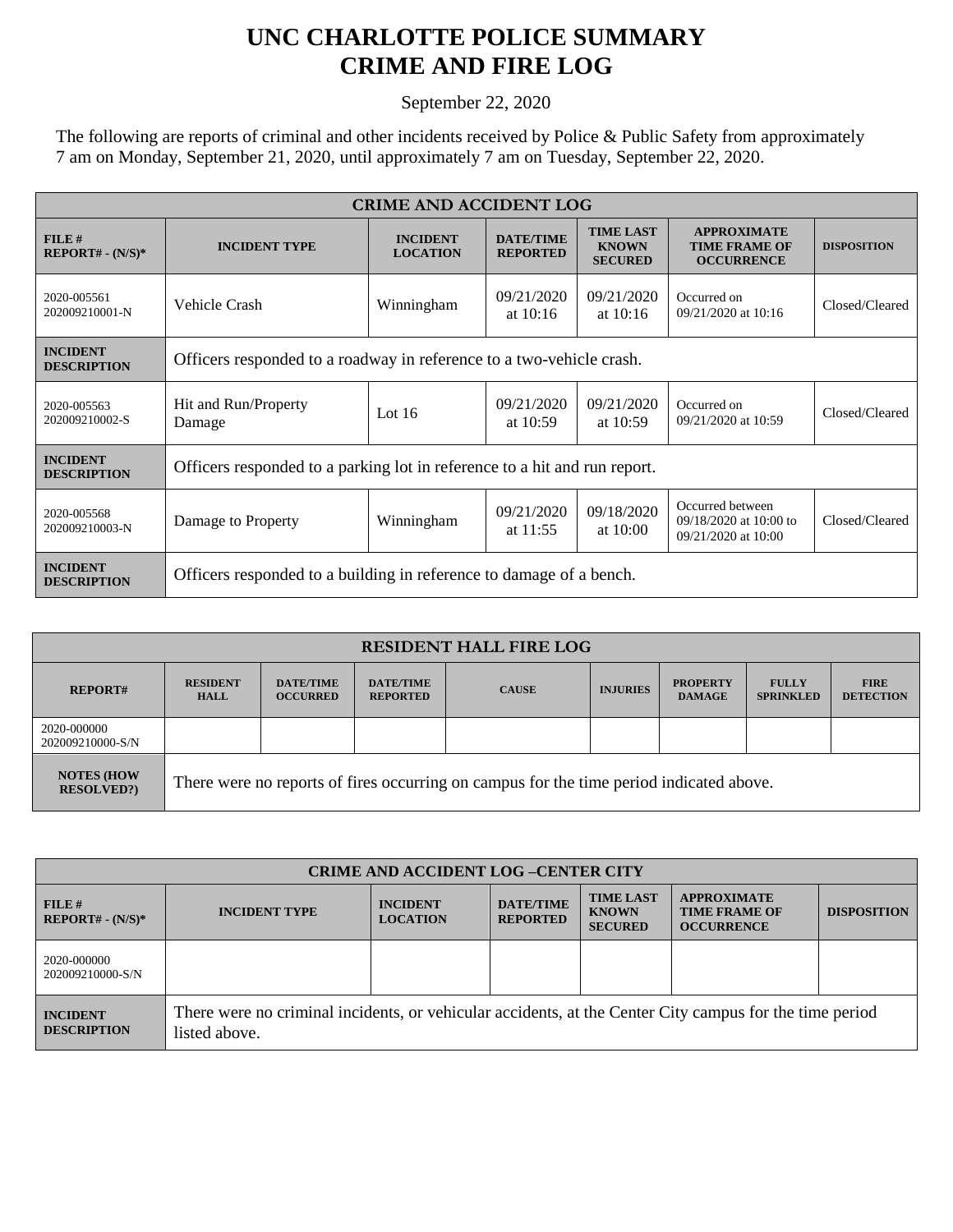## **UNC CHARLOTTE POLICE SUMMARY CRIME AND FIRE LOG**

September 22, 2020

The following are reports of criminal and other incidents received by Police & Public Safety from approximately 7 am on Monday, September 21, 2020, until approximately 7 am on Tuesday, September 22, 2020.

| <b>CRIME AND ACCIDENT LOG</b>         |                                                                           |                                    |                                     |                                                    |                                                                     |                    |  |
|---------------------------------------|---------------------------------------------------------------------------|------------------------------------|-------------------------------------|----------------------------------------------------|---------------------------------------------------------------------|--------------------|--|
| FILE#<br>$REPORT# - (N/S)*$           | <b>INCIDENT TYPE</b>                                                      | <b>INCIDENT</b><br><b>LOCATION</b> | <b>DATE/TIME</b><br><b>REPORTED</b> | <b>TIME LAST</b><br><b>KNOWN</b><br><b>SECURED</b> | <b>APPROXIMATE</b><br><b>TIME FRAME OF</b><br><b>OCCURRENCE</b>     | <b>DISPOSITION</b> |  |
| 2020-005561<br>202009210001-N         | Vehicle Crash                                                             | Winningham                         | 09/21/2020<br>at $10:16$            | 09/21/2020<br>at $10:16$                           | Occurred on<br>09/21/2020 at 10:16                                  | Closed/Cleared     |  |
| <b>INCIDENT</b><br><b>DESCRIPTION</b> | Officers responded to a roadway in reference to a two-vehicle crash.      |                                    |                                     |                                                    |                                                                     |                    |  |
| 2020-005563<br>202009210002-S         | Hit and Run/Property<br>Damage                                            | Lot $16$                           | 09/21/2020<br>at $10:59$            | 09/21/2020<br>at $10:59$                           | Occurred on<br>09/21/2020 at 10:59                                  | Closed/Cleared     |  |
| <b>INCIDENT</b><br><b>DESCRIPTION</b> | Officers responded to a parking lot in reference to a hit and run report. |                                    |                                     |                                                    |                                                                     |                    |  |
| 2020-005568<br>202009210003-N         | Damage to Property                                                        | Winningham                         | 09/21/2020<br>at $11:55$            | 09/18/2020<br>at $10:00$                           | Occurred between<br>$09/18/2020$ at 10:00 to<br>09/21/2020 at 10:00 | Closed/Cleared     |  |
| <b>INCIDENT</b><br><b>DESCRIPTION</b> | Officers responded to a building in reference to damage of a bench.       |                                    |                                     |                                                    |                                                                     |                    |  |

| <b>RESIDENT HALL FIRE LOG</b>         |                                                                                         |                                     |                                     |              |                 |                                  |                                  |                                 |
|---------------------------------------|-----------------------------------------------------------------------------------------|-------------------------------------|-------------------------------------|--------------|-----------------|----------------------------------|----------------------------------|---------------------------------|
| <b>REPORT#</b>                        | <b>RESIDENT</b><br><b>HALL</b>                                                          | <b>DATE/TIME</b><br><b>OCCURRED</b> | <b>DATE/TIME</b><br><b>REPORTED</b> | <b>CAUSE</b> | <b>INJURIES</b> | <b>PROPERTY</b><br><b>DAMAGE</b> | <b>FULLY</b><br><b>SPRINKLED</b> | <b>FIRE</b><br><b>DETECTION</b> |
| 2020-000000<br>202009210000-S/N       |                                                                                         |                                     |                                     |              |                 |                                  |                                  |                                 |
| <b>NOTES (HOW</b><br><b>RESOLVED?</b> | There were no reports of fires occurring on campus for the time period indicated above. |                                     |                                     |              |                 |                                  |                                  |                                 |

| <b>CRIME AND ACCIDENT LOG-CENTER CITY</b> |                                                                                                                          |                                    |                                     |                                                    |                                                                 |                    |
|-------------------------------------------|--------------------------------------------------------------------------------------------------------------------------|------------------------------------|-------------------------------------|----------------------------------------------------|-----------------------------------------------------------------|--------------------|
| $FILE$ #<br>$REPORT# - (N/S)*$            | <b>INCIDENT TYPE</b>                                                                                                     | <b>INCIDENT</b><br><b>LOCATION</b> | <b>DATE/TIME</b><br><b>REPORTED</b> | <b>TIME LAST</b><br><b>KNOWN</b><br><b>SECURED</b> | <b>APPROXIMATE</b><br><b>TIME FRAME OF</b><br><b>OCCURRENCE</b> | <b>DISPOSITION</b> |
| 2020-000000<br>202009210000-S/N           |                                                                                                                          |                                    |                                     |                                                    |                                                                 |                    |
| <b>INCIDENT</b><br><b>DESCRIPTION</b>     | There were no criminal incidents, or vehicular accidents, at the Center City campus for the time period<br>listed above. |                                    |                                     |                                                    |                                                                 |                    |